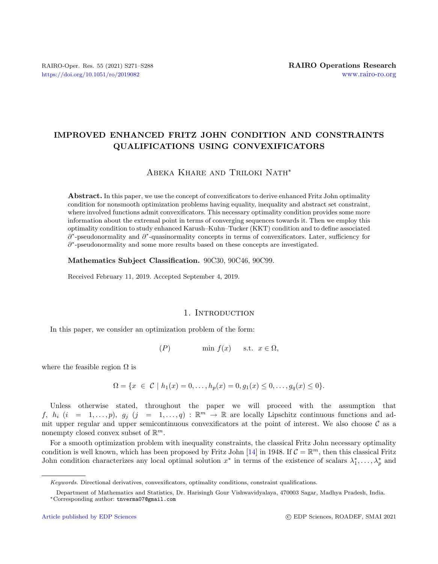# IMPROVED ENHANCED FRITZ JOHN CONDITION AND CONSTRAINTS QUALIFICATIONS USING CONVEXIFICATORS

## Abeka Khare and Triloki Nath<sup>∗</sup>

Abstract. In this paper, we use the concept of convexificators to derive enhanced Fritz John optimality condition for nonsmooth optimization problems having equality, inequality and abstract set constraint, where involved functions admit convexificators. This necessary optimality condition provides some more information about the extremal point in terms of converging sequences towards it. Then we employ this optimality condition to study enhanced Karush–Kuhn–Tucker (KKT) condition and to define associated ∂<sup>∗</sup>-pseudonormality and ∂<sup>∗</sup>-quasinormality concepts in terms of convexificators. Later, sufficiency for ∂\*-pseudonormality and some more results based on these concepts are investigated.

Mathematics Subject Classification. 90C30, 90C46, 90C99.

Received February 11, 2019. Accepted September 4, 2019.

### 1. INTRODUCTION

In this paper, we consider an optimization problem of the form:

(P) min  $f(x)$  s.t.  $x \in \Omega$ ,

where the feasible region  $\Omega$  is

$$
\Omega = \{x \in C \mid h_1(x) = 0, \dots, h_p(x) = 0, g_1(x) \le 0, \dots, g_q(x) \le 0\}.
$$

Unless otherwise stated, throughout the paper we will proceed with the assumption that f,  $h_i$   $(i = 1, ..., p)$ ,  $g_j$   $(j = 1, ..., q) : \mathbb{R}^m \to \mathbb{R}$  are locally Lipschitz continuous functions and admit upper regular and upper semicontinuous convexificators at the point of interest. We also choose  $\mathcal C$  as a nonempty closed convex subset of  $\mathbb{R}^m$ .

For a smooth optimization problem with inequality constraints, the classical Fritz John necessary optimality condition is well known, which has been proposed by Fritz John [\[14\]](#page-17-0) in 1948. If  $C = \mathbb{R}^m$ , then this classical Fritz John condition characterizes any local optimal solution  $x^*$  in terms of the existence of scalars  $\lambda_1^*, \ldots, \lambda_p^*$  and

Keywords. Directional derivatives, convexificators, optimality conditions, constraint qualifications.

Department of Mathematics and Statistics, Dr. Harisingh Gour Vishwavidyalaya, 470003 Sagar, Madhya Pradesh, India. <sup>∗</sup>Corresponding author: [tnverma07@gmail.com](mailto:tnverma07@gmail.com)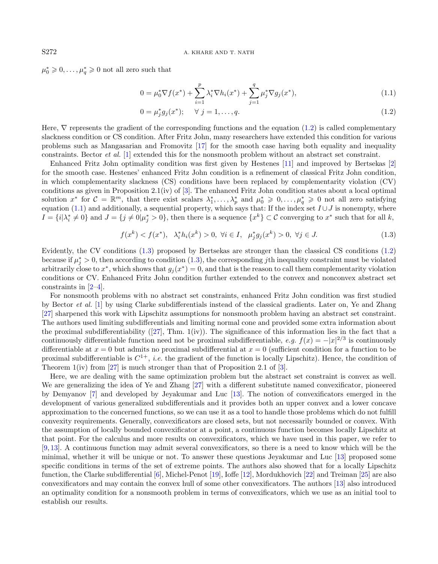$\mu_0^* \geq 0, \ldots, \mu_q^* \geq 0$  not all zero such that

$$
0 = \mu_0^* \nabla f(x^*) + \sum_{i=1}^p \lambda_i^* \nabla h_i(x^*) + \sum_{j=1}^q \mu_j^* \nabla g_j(x^*), \tag{1.1}
$$

<span id="page-1-1"></span><span id="page-1-0"></span>
$$
0 = \mu_j^* g_j(x^*); \quad \forall \ j = 1, \dots, q. \tag{1.2}
$$

Here,  $\nabla$  represents the gradient of the corresponding functions and the equation [\(1.2\)](#page-1-0) is called complementary slackness condition or CS condition. After Fritz John, many researchers have extended this condition for various problems such as Mangasarian and Fromovitz [\[17\]](#page-17-1) for the smooth case having both equality and inequality constraints. Bector et al. [\[1\]](#page-17-2) extended this for the nonsmooth problem without an abstract set constraint.

Enhanced Fritz John optimality condition was first given by Hestenes [\[11\]](#page-17-3) and improved by Bertsekas [\[2\]](#page-17-4) for the smooth case. Hestenes' enhanced Fritz John condition is a refinement of classical Fritz John condition, in which complementarity slackness (CS) conditions have been replaced by complementarity violation (CV) conditions as given in Proposition 2.1(iv) of  $[3]$ . The enhanced Fritz John condition states about a local optimal solution  $x^*$  for  $\mathcal{C} = \mathbb{R}^m$ , that there exist scalars  $\lambda_1^*, \ldots, \lambda_p^*$  and  $\mu_0^* \geq 0, \ldots, \mu_q^* \geq 0$  not all zero satisfying equation [\(1.1\)](#page-1-0) and additionally, a sequential property, which says that: If the index set  $I \cup J$  is nonempty, where  $I = \{i | \lambda_i^* \neq 0\}$  and  $J = \{j \neq 0 | \mu_j^* > 0\}$ , then there is a sequence  $\{x^k\} \subset \mathcal{C}$  converging to  $x^*$  such that for all k,

$$
f(x^k) < f(x^*), \quad \lambda_i^* h_i(x^k) > 0, \ \forall i \in I, \ \mu_j^* g_j(x^k) > 0, \ \forall j \in J. \tag{1.3}
$$

Evidently, the CV conditions [\(1.3\)](#page-1-1) proposed by Bertsekas are stronger than the classical CS conditions [\(1.2\)](#page-1-0) because if  $\mu_j^* > 0$ , then according to condition  $(1.3)$ , the corresponding jth inequality constraint must be violated arbitrarily close to  $x^*$ , which shows that  $g_j(x^*) = 0$ , and that is the reason to call them complementarity violation conditions or CV. Enhanced Fritz John condition further extended to the convex and nonconvex abstract set constraints in [\[2–](#page-17-4)[4\]](#page-17-6).

For nonsmooth problems with no abstract set constraints, enhanced Fritz John condition was first studied by Bector et al. [\[1\]](#page-17-2) by using Clarke subdifferentials instead of the classical gradients. Later on, Ye and Zhang [\[27\]](#page-17-7) sharpened this work with Lipschitz assumptions for nonsmooth problem having an abstract set constraint. The authors used limiting subdifferentials and limiting normal cone and provided some extra information about the proximal subdifferentiability  $([27], Thm. 1(iv))$  $([27], Thm. 1(iv))$  $([27], Thm. 1(iv))$ . The significance of this information lies in the fact that a continuously differentiable function need not be proximal subdifferentiable, e.g.  $f(x) = -|x|^{2/3}$  is continuously differentiable at  $x = 0$  but admits no proximal subdifferential at  $x = 0$  (sufficient condition for a function to be proximal subdifferentiable is  $C^{1+}$ , *i.e.* the gradient of the function is locally Lipschitz). Hence, the condition of Theorem  $1(iv)$  from [\[27\]](#page-17-7) is much stronger than that of Proposition 2.1 of [\[3\]](#page-17-5).

Here, we are dealing with the same optimization problem but the abstract set constraint is convex as well. We are generalizing the idea of Ye and Zhang [\[27\]](#page-17-7) with a different substitute named convexificator, pioneered by Demyanov [\[7\]](#page-17-8) and developed by Jeyakumar and Luc [\[13\]](#page-17-9). The notion of convexificators emerged in the development of various generalized subdifferentials and it provides both an upper convex and a lower concave approximation to the concerned functions, so we can use it as a tool to handle those problems which do not fulfill convexity requirements. Generally, convexificators are closed sets, but not necessarily bounded or convex. With the assumption of locally bounded convexificator at a point, a continuous function becomes locally Lipschitz at that point. For the calculus and more results on convexificators, which we have used in this paper, we refer to [\[9,](#page-17-10) [13\]](#page-17-9). A continuous function may admit several convexificators, so there is a need to know which will be the minimal, whether it will be unique or not. To answer these questions Jeyakumar and Luc [\[13\]](#page-17-9) proposed some specific conditions in terms of the set of extreme points. The authors also showed that for a locally Lipschitz function, the Clarke subdifferential [\[6\]](#page-17-11), Michel-Penot [\[19\]](#page-17-12), Ioffe [\[12\]](#page-17-13), Mordukhovich [\[22\]](#page-17-14) and Treiman [\[25\]](#page-17-15) are also convexificators and may contain the convex hull of some other convexificators. The authors [\[13\]](#page-17-9) also introduced an optimality condition for a nonsmooth problem in terms of convexificators, which we use as an initial tool to establish our results.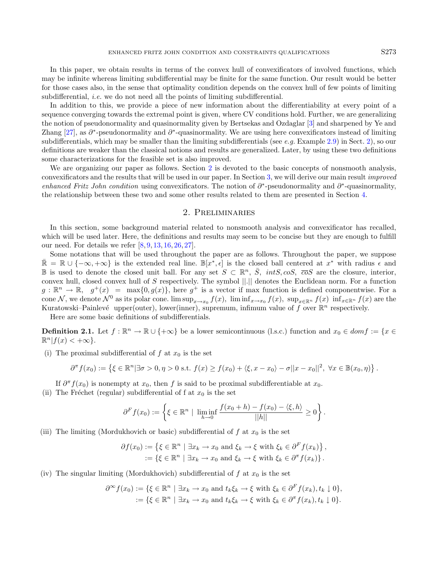In this paper, we obtain results in terms of the convex hull of convexificators of involved functions, which may be infinite whereas limiting subdifferential may be finite for the same function. Our result would be better for those cases also, in the sense that optimality condition depends on the convex hull of few points of limiting subdifferential, *i.e.* we do not need all the points of limiting subdifferential.

In addition to this, we provide a piece of new information about the differentiability at every point of a sequence converging towards the extremal point is given, where CV conditions hold. Further, we are generalizing the notion of pseudonormality and quasinormality given by Bertsekas and Ozdaglar [\[3\]](#page-17-5) and sharpened by Ye and Zhang [\[27\]](#page-17-7), as  $\partial^*$ -pseudonormality and  $\partial^*$ -quasinormality. We are using here convexificators instead of limiting subdifferentials, which may be smaller than the limiting subdifferentials (see e.g. Example [2.9\)](#page-4-0) in Sect. [2\)](#page-2-0), so our definitions are weaker than the classical notions and results are generalized. Later, by using these two definitions some characterizations for the feasible set is also improved.

We are organizing our paper as follows. Section [2](#page-2-0) is devoted to the basic concepts of nonsmooth analysis, convexificators and the results that will be used in our paper. In Section [3,](#page-6-0) we will derive our main result improved enhanced Fritz John condition using convexificators. The notion of  $\partial^*$ -pseudonormality and  $\partial^*$ -quasinormality, the relationship between these two and some other results related to them are presented in Section [4.](#page-11-0)

### 2. Preliminaries

<span id="page-2-0"></span>In this section, some background material related to nonsmooth analysis and convexificator has recalled, which will be used later. Here, the definitions and results may seem to be concise but they are enough to fulfill our need. For details we refer [\[8,](#page-17-16) [9,](#page-17-10) [13,](#page-17-9) [16,](#page-17-17) [26,](#page-17-18) [27\]](#page-17-7).

Some notations that will be used throughout the paper are as follows. Throughout the paper, we suppose  $\bar{\mathbb{R}} = \mathbb{R} \cup \{-\infty, +\infty\}$  is the extended real line.  $\mathbb{B}[x^*, \epsilon]$  is the closed ball centered at  $x^*$  with radius  $\epsilon$  and B is used to denote the closed unit ball. For any set  $S \subset \mathbb{R}^n$ ,  $\overline{S}$ ,  $intS$ ,  $cosS$ ,  $\overline{co}S$  are the closure, interior, convex hull, closed convex hull of S respectively. The symbol ||.|| denotes the Euclidean norm. For a function  $g: \mathbb{R}^n \to \mathbb{R}, g^+(x) = \max\{0, g(x)\},\$ here  $g^+$  is a vector if max function is defined componentwise. For a cone N, we denote  $\mathcal{N}^0$  as its polar cone.  $\limsup_{x\to x_0} f(x)$ ,  $\liminf_{x\to x_0} f(x)$ ,  $\sup_{x\in \mathbb{R}^n} f(x)$   $\inf_{x\in \mathbb{R}^n} f(x)$  are the Kuratowski–Painlevé upper(outer), lower(inner), supremum, infimum value of f over  $\mathbb{R}^n$  respectively.

Here are some basic definitions of subdifferentials.

**Definition 2.1.** Let  $f : \mathbb{R}^n \to \mathbb{R} \cup \{+\infty\}$  be a lower semicontinuous (l.s.c.) function and  $x_0 \in dom f := \{x \in$  $\mathbb{R}^n | f(x) < +\infty$ .

(i) The proximal subdifferential of f at  $x_0$  is the set

$$
\partial^{\pi} f(x_0) := \left\{ \xi \in \mathbb{R}^n | \exists \sigma > 0, \eta > 0 \text{ s.t. } f(x) \ge f(x_0) + \langle \xi, x - x_0 \rangle - \sigma ||x - x_0||^2, \ \forall x \in \mathbb{B}(x_0, \eta) \right\}.
$$

If  $\partial^{\pi} f(x_0)$  is nonempty at  $x_0$ , then f is said to be proximal subdifferentiable at  $x_0$ .

(ii) The Fréchet (regular) subdifferential of f at  $x_0$  is the set

$$
\partial^F f(x_0) := \left\{ \xi \in \mathbb{R}^n \mid \liminf_{h \to 0} \frac{f(x_0 + h) - f(x_0) - \langle \xi, h \rangle}{||h||} \ge 0 \right\}.
$$

(iii) The limiting (Mordukhovich or basic) subdifferential of  $f$  at  $x_0$  is the set

$$
\partial f(x_0) := \left\{ \xi \in \mathbb{R}^n \mid \exists x_k \to x_0 \text{ and } \xi_k \to \xi \text{ with } \xi_k \in \partial^F f(x_k) \right\},
$$
  
 := \left\{ \xi \in \mathbb{R}^n \mid \exists x\_k \to x\_0 \text{ and } \xi\_k \to \xi \text{ with } \xi\_k \in \partial^T f(x\_k) \right\}.

(iv) The singular limiting (Mordukhovich) subdifferential of  $f$  at  $x_0$  is the set

$$
\partial^{\infty} f(x_0) := \{ \xi \in \mathbb{R}^n \mid \exists x_k \to x_0 \text{ and } t_k \xi_k \to \xi \text{ with } \xi_k \in \partial^F f(x_k), t_k \downarrow 0 \},
$$
  
 := \{ \xi \in \mathbb{R}^n \mid \exists x\_k \to x\_0 \text{ and } t\_k \xi\_k \to \xi \text{ with } \xi\_k \in \partial^T f(x\_k), t\_k \downarrow 0 \}.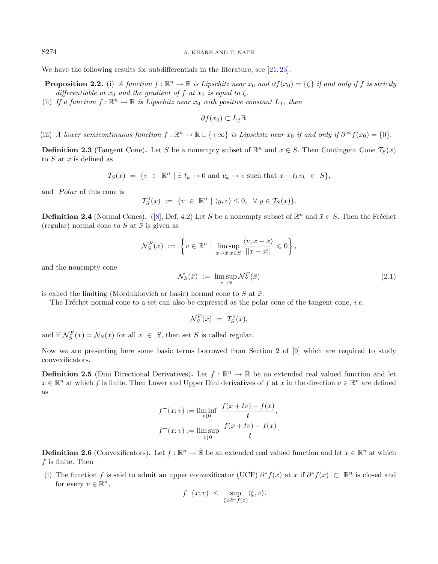We have the following results for subdifferentials in the literature, see [\[21,](#page-17-19) [23\]](#page-17-20).

**Proposition 2.2.** (i) A function  $f : \mathbb{R}^n \to \mathbb{R}$  is Lipschitz near  $x_0$  and  $\partial f(x_0) = \{\zeta\}$  if and only if f is strictly differentiable at  $x_0$  and the gradient of f at  $x_0$  is equal to  $\zeta$ .

(ii) If a function  $f : \mathbb{R}^n \to \mathbb{R}$  is Lipschitz near  $x_0$  with positive constant  $L_f$ , then

<span id="page-3-0"></span>
$$
\partial f(x_0) \subset L_f \mathbb{B}.
$$

(iii) A lower semicontinuous function  $f : \mathbb{R}^n \to \mathbb{R} \cup \{+\infty\}$  is Lipschitz near  $x_0$  if and only if  $\partial^{\infty} f(x_0) = \{0\}.$ 

**Definition 2.3** (Tangent Cone). Let S be a nonempty subset of  $\mathbb{R}^n$  and  $x \in \overline{S}$ . Then Contingent Cone  $\mathcal{T}_{S}(x)$ to  $S$  at  $x$  is defined as

$$
\mathcal{T}_S(x) = \{ v \in \mathbb{R}^n \mid \exists t_k \to 0 \text{ and } v_k \to v \text{ such that } x + t_k v_k \in S \},
$$

and *Polar* of this cone is

$$
\mathcal{T}_S^0(x) := \{ v \in \mathbb{R}^n \mid \langle y, v \rangle \leq 0, \ \forall y \in \mathcal{T}_S(x) \}.
$$

**Definition 2.4** (Normal Cones). ([\[8\]](#page-17-16), Def. 4.2) Let S be a nonempty subset of  $\mathbb{R}^n$  and  $\bar{x} \in S$ . Then the Fréchet (regular) normal cone to S at  $\bar{x}$  is given as

$$
\mathcal{N}_S^F(\bar{x}) \ := \ \left\{ v \in \mathbb{R}^n \mid \ \limsup_{x \to \bar{x}, x \in S} \frac{\langle v, x - \bar{x} \rangle}{||x - \bar{x}||} \leqslant 0 \right\},
$$

and the nonempty cone

$$
\mathcal{N}_S(\bar{x}) := \limsup_{x \to \bar{x}} \mathcal{N}_S^F(\bar{x}) \tag{2.1}
$$

is called the limiting (Mordukhovich or basic) normal cone to S at  $\bar{x}$ .

The Fréchet normal cone to a set can also be expressed as the polar cone of the tangent cone, *i.e.* 

$$
\mathcal{N}_S^F(\bar{x}) = \mathcal{T}_S^0(\bar{x}),
$$

and if  $\mathcal{N}_S^F(\bar{x}) = \mathcal{N}_S(\bar{x})$  for all  $x \in S$ , then set S is called regular.

Now we are presenting here some basic terms borrowed from Section 2 of [\[9\]](#page-17-10) which are required to study convexificators.

**Definition 2.5** (Dini Directional Derivatives). Let  $f : \mathbb{R}^n \to \bar{\mathbb{R}}$  be an extended real valued function and let  $x \in \mathbb{R}^n$  at which f is finite. Then Lower and Upper Dini derivatives of f at x in the direction  $v \in \mathbb{R}^n$  are defined as

$$
f^{-}(x; v) := \liminf_{t \downarrow 0} \frac{f(x + tv) - f(x)}{t},
$$
  

$$
f^{+}(x; v) := \limsup_{t \downarrow 0} \frac{f(x + tv) - f(x)}{t}.
$$

**Definition 2.6** (Convexificators). Let  $f : \mathbb{R}^n \to \bar{\mathbb{R}}$  be an extended real valued function and let  $x \in \mathbb{R}^n$  at which  $f$  is finite. Then

(i) The function f is said to admit an upper convexificator (UCF)  $\partial^* f(x)$  at x if  $\partial^* f(x) \subset \mathbb{R}^n$  is closed and for every  $v \in \mathbb{R}^n$ ,

$$
f^-(x;v) \leq \sup_{\xi \in \partial^* f(x)} \langle \xi, v \rangle.
$$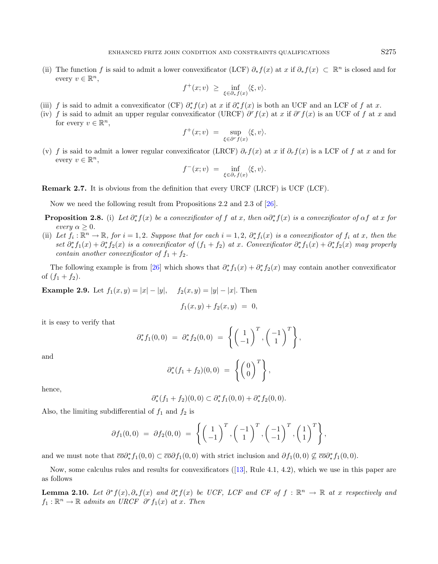(ii) The function f is said to admit a lower convexificator (LCF)  $\partial_* f(x)$  at x if  $\partial_* f(x) \subset \mathbb{R}^n$  is closed and for every  $v \in \mathbb{R}^n$ ,

<span id="page-4-2"></span>
$$
f^+(x;v) \geq \inf_{\xi \in \partial_* f(x)} \langle \xi, v \rangle.
$$

- (iii) f is said to admit a convexificator (CF)  $\partial^*_* f(x)$  at x if  $\partial^*_* f(x)$  is both an UCF and an LCF of f at x.
- (iv) f is said to admit an upper regular convexificator (URCF)  $\partial^r f(x)$  at x if  $\partial^r f(x)$  is an UCF of f at x and for every  $v \in \mathbb{R}^n$ ,

$$
f^+(x;v) = \sup_{\xi \in \partial^r f(x)} \langle \xi, v \rangle.
$$

<span id="page-4-0"></span>(v) f is said to admit a lower regular convexificator (LRCF)  $\partial_r f(x)$  at x if  $\partial_r f(x)$  is a LCF of f at x and for every  $v \in \mathbb{R}^n$ ,

$$
f^-(x;v) = \inf_{\xi \in \partial_r f(x)} \langle \xi, v \rangle.
$$

Remark 2.7. It is obvious from the definition that every URCF (LRCF) is UCF (LCF).

Now we need the following result from Propositions 2.2 and 2.3 of [\[26\]](#page-17-18).

- **Proposition 2.8.** (i) Let  $\partial^*_* f(x)$  be a convexificator of f at x, then  $\alpha \partial^*_* f(x)$  is a convexificator of  $\alpha f$  at x for every  $\alpha > 0$ .
- (ii) Let  $f_i: \mathbb{R}^n \to \mathbb{R}$ , for  $i = 1, 2$ . Suppose that for each  $i = 1, 2$ ,  $\partial_*^* f_i(x)$  is a convexificator of  $f_i$  at x, then the set  $\partial^*_* f_1(x) + \partial^*_* f_2(x)$  is a convexificator of  $(f_1 + f_2)$  at x. Convexificator  $\partial^*_* f_1(x) + \partial^*_* f_2(x)$  may properly contain another convexificator of  $f_1 + f_2$ .

The following example is from [\[26\]](#page-17-18) which shows that  $\partial_*^* f_1(x) + \partial_*^* f_2(x)$  may contain another convexificator of  $(f_1 + f_2)$ .

**Example 2.9.** Let  $f_1(x, y) = |x| - |y|$ ,  $f_2(x, y) = |y| - |x|$ . Then

$$
f_1(x,y) + f_2(x,y) = 0,
$$

it is easy to verify that

$$
\partial^*_{*} f_1(0,0) = \partial^*_{*} f_2(0,0) = \left\{ \begin{pmatrix} 1 \\ -1 \end{pmatrix}^T, \begin{pmatrix} -1 \\ 1 \end{pmatrix}^T \right\},\
$$

and

$$
\partial_*^*(f_1+f_2)(0,0) = \left\{ \begin{pmatrix} 0 \\ 0 \end{pmatrix}^T \right\},\,
$$

<span id="page-4-1"></span>hence,

$$
\partial_{*}^{*}(f_1+f_2)(0,0) \subset \partial_{*}^{*}f_1(0,0) + \partial_{*}^{*}f_2(0,0).
$$

Also, the limiting subdifferential of  $f_1$  and  $f_2$  is

$$
\partial f_1(0,0) = \partial f_2(0,0) = \left\{ \begin{pmatrix} 1 \\ -1 \end{pmatrix}^T, \begin{pmatrix} -1 \\ 1 \end{pmatrix}^T, \begin{pmatrix} -1 \\ -1 \end{pmatrix}^T, \begin{pmatrix} 1 \\ 1 \end{pmatrix}^T \right\},
$$

and we must note that  $\overline{co} \partial^*_* f_1(0,0) \subset \overline{co} \partial f_1(0,0)$  with strict inclusion and  $\partial f_1(0,0) \not\subseteq \overline{co} \partial^*_* f_1(0,0)$ .

Now, some calculus rules and results for convexificators ([\[13\]](#page-17-9), Rule 4.1, 4.2), which we use in this paper are as follows

**Lemma 2.10.** Let  $\partial^* f(x), \partial^* f(x)$  and  $\partial^* f(x)$  be UCF, LCF and CF of  $f : \mathbb{R}^n \to \mathbb{R}$  at x respectively and  $f_1: \mathbb{R}^n \to \mathbb{R}$  admits an URCF  $\partial^r f_1(x)$  at x. Then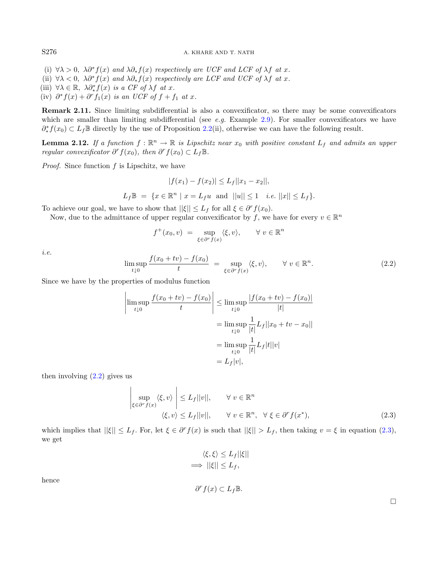- (i)  $\forall \lambda > 0$ ,  $\lambda \partial^* f(x)$  and  $\lambda \partial_* f(x)$  respectively are UCF and LCF of  $\lambda f$  at x.
- (ii)  $\forall \lambda < 0$ ,  $\lambda \partial^* f(x)$  and  $\lambda \partial_* f(x)$  respectively are LCF and UCF of  $\lambda f$  at x.
- (iii)  $\forall \lambda \in \mathbb{R}, \ \lambda \partial^*_{*} f(x) \ \text{is a CF of } \lambda f \ \text{at } x.$
- (iv)  $\partial^* f(x) + \partial^r f_1(x)$  is an UCF of  $f + f_1$  at x.

Remark 2.11. Since limiting subdifferential is also a convexificator, so there may be some convexificators which are smaller than limiting subdifferential (see e.g. Example [2.9\)](#page-4-0). For smaller convexificators we have  $\partial^* f(x_0) \subset L_f \mathbb{B}$  directly by the use of Proposition [2.2\(](#page-3-0)ii), otherwise we can have the following result.

<span id="page-5-2"></span><span id="page-5-0"></span>**Lemma 2.12.** If a function  $f : \mathbb{R}^n \to \mathbb{R}$  is Lipschitz near  $x_0$  with positive constant  $L_f$  and admits an upper regular convexificator  $\partial^r f(x_0)$ , then  $\partial^r f(x_0) \subset L_f \mathbb{B}$ .

*Proof.* Since function  $f$  is Lipschitz, we have

$$
|f(x_1) - f(x_2)| \le L_f ||x_1 - x_2||,
$$

$$
L_f \mathbb{B} = \{ x \in \mathbb{R}^n \mid x = L_f u \text{ and } ||u|| \le 1 \text{ i.e. } ||x|| \le L_f \}.
$$

To achieve our goal, we have to show that  $||\xi|| \leq L_f$  for all  $\xi \in \partial^r f(x_0)$ .

Now, due to the admittance of upper regular convexificator by f, we have for every  $v \in \mathbb{R}^n$ 

$$
f^+(x_0, v) = \sup_{\xi \in \partial^r f(x)} \langle \xi, v \rangle, \quad \forall \ v \in \mathbb{R}^n
$$

i.e.

$$
\limsup_{t \downarrow 0} \frac{f(x_0 + tv) - f(x_0)}{t} = \sup_{\xi \in \partial^r f(x)} \langle \xi, v \rangle, \qquad \forall \ v \in \mathbb{R}^n. \tag{2.2}
$$

Since we have by the properties of modulus function

$$
\left| \limsup_{t \downarrow 0} \frac{f(x_0 + tv) - f(x_0)}{t} \right| \le \limsup_{t \downarrow 0} \frac{|f(x_0 + tv) - f(x_0)|}{|t|}
$$

$$
= \limsup_{t \downarrow 0} \frac{1}{|t|} L_f ||x_0 + tv - x_0||
$$

$$
= \limsup_{t \downarrow 0} \frac{1}{|t|} L_f |t||v|
$$

$$
= L_f |v|,
$$

then involving  $(2.2)$  gives us

<span id="page-5-1"></span>
$$
\left| \sup_{\xi \in \partial^r f(x)} \langle \xi, v \rangle \right| \le L_f ||v||, \qquad \forall \ v \in \mathbb{R}^n
$$
  

$$
\langle \xi, v \rangle \le L_f ||v||, \qquad \forall \ v \in \mathbb{R}^n, \ \forall \ \xi \in \partial^r f(x^*),
$$
 (2.3)

which implies that  $||\xi|| \leq L_f$ . For, let  $\xi \in \partial^r f(x)$  is such that  $||\xi|| > L_f$ , then taking  $v = \xi$  in equation [\(2.3\)](#page-5-1), we get

$$
\langle \xi, \xi \rangle \le L_f ||\xi||
$$
  
\n
$$
\implies ||\xi|| \le L_f,
$$
  
\n
$$
\partial^r f(x) \subset L_f \mathbb{B}.
$$

hence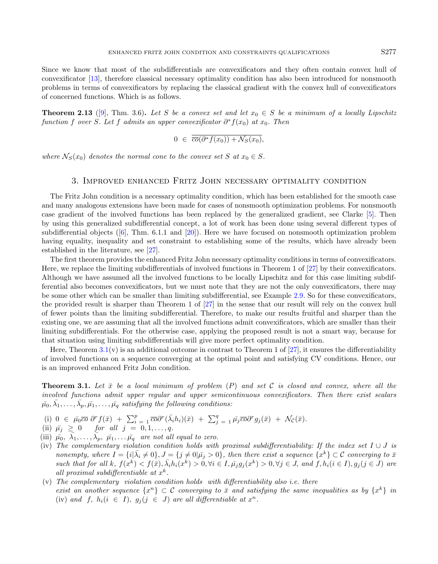Since we know that most of the subdifferentials are convexificators and they often contain convex hull of convexificator [\[13\]](#page-17-9), therefore classical necessary optimality condition has also been introduced for nonsmooth problems in terms of convexificators by replacing the classical gradient with the convex hull of convexificators of concerned functions. Which is as follows.

**Theorem 2.13** ([\[9\]](#page-17-10), Thm. 3.6). Let S be a convex set and let  $x_0 \in S$  be a minimum of a locally Lipschitz function f over S. Let f admits an upper convexificator  $\partial^* f(x_0)$  at  $x_0$ . Then

<span id="page-6-2"></span>
$$
0 \in \overline{co}(\partial^* f(x_0)) + \mathcal{N}_S(x_0),
$$

where  $\mathcal{N}_S(x_0)$  denotes the normal cone to the convex set S at  $x_0 \in S$ .

### 3. Improved enhanced Fritz John necessary optimality condition

<span id="page-6-0"></span>The Fritz John condition is a necessary optimality condition, which has been established for the smooth case and many analogous extensions have been made for cases of nonsmooth optimization problems. For nonsmooth case gradient of the involved functions has been replaced by the generalized gradient, see Clarke [\[5\]](#page-17-21). Then by using this generalized subdifferential concept, a lot of work has been done using several different types of subdifferential objects  $([6], \text{Thm. } 6.1.1 \text{ and } [20])$  $([6], \text{Thm. } 6.1.1 \text{ and } [20])$  $([6], \text{Thm. } 6.1.1 \text{ and } [20])$  $([6], \text{Thm. } 6.1.1 \text{ and } [20])$  $([6], \text{Thm. } 6.1.1 \text{ and } [20])$ . Here we have focused on nonsmooth optimization problem having equality, inequality and set constraint to establishing some of the results, which have already been established in the literature, see [\[27\]](#page-17-7).

The first theorem provides the enhanced Fritz John necessary optimality conditions in terms of convexificators. Here, we replace the limiting subdifferentials of involved functions in Theorem 1 of [\[27\]](#page-17-7) by their convexificators. Although we have assumed all the involved functions to be locally Lipschitz and for this case limiting subdifferential also becomes convexificators, but we must note that they are not the only convexificators, there may be some other which can be smaller than limiting subdifferential, see Example [2.9.](#page-4-0) So for these convexificators, the provided result is sharper than Theorem 1 of [\[27\]](#page-17-7) in the sense that our result will rely on the convex hull of fewer points than the limiting subdifferential. Therefore, to make our results fruitful and sharper than the existing one, we are assuming that all the involved functions admit convexificators, which are smaller than their limiting subdifferentials. For the otherwise case, applying the proposed result is not a smart way, because for that situation using limiting subdifferentials will give more perfect optimality condition.

Here, Theorem  $3.1(v)$  $3.1(v)$  is an additional outcome in contrast to Theorem 1 of [\[27\]](#page-17-7), it ensures the differentiability of involved functions on a sequence converging at the optimal point and satisfying CV conditions. Hence, our is an improved enhanced Fritz John condition.

<span id="page-6-1"></span>**Theorem 3.1.** Let  $\bar{x}$  be a local minimum of problem  $(P)$  and set C is closed and convex, where all the involved functions admit upper regular and upper semicontinuous convexificators. Then there exist scalars  $\bar{\mu_0}, \bar{\lambda_1}, \ldots, \bar{\lambda_p}, \bar{\mu_1}, \ldots, \bar{\mu_q}$  satisfying the following conditions:

- (i)  $0 \in \bar{\mu}_0 \overline{co} \ \partial^r f(\bar{x}) + \sum_{i=1}^p \overline{co} \partial^r (\bar{\lambda}_i h_i)(\bar{x}) + \sum_{j=1}^q \bar{\mu}_j \overline{co} \partial^r g_j(\bar{x}) + \mathcal{N}_c(\bar{x}).$
- (ii)  $\bar{\mu}_j \geq 0$  for all  $j = 0, 1, \ldots, q$ .
- (iii)  $\bar{\mu_0}, \bar{\lambda_1}, \ldots, \bar{\lambda_p}, \bar{\mu_1}, \ldots, \bar{\mu_q}$  are not all equal to zero.
- (iv) The complementary violation condition holds with proximal subdifferentiability: If the index set  $I \cup J$  is nonempty, where  $I = \{i | \bar{\lambda}_i \neq 0\}$ ,  $J = \{j \neq 0 | \bar{\mu}_j > 0\}$ , then there exist a sequence  $\{x^k\} \subset \mathcal{C}$  converging to  $\bar{x}$ such that for all k,  $f(x^k) < f(\bar{x}), \bar{\lambda}_i h_i(x^k) > 0, \forall i \in I, \bar{\mu}_j g_j(x^k) > 0, \forall j \in J$ , and  $f, h_i(i \in I), g_j(j \in J)$  are all proximal subdifferentiable at  $x^k$ .
- $(v)$  The complementary violation condition holds with differentiability also i.e. there exist an another sequence  $\{x^n\} \subset \mathcal{C}$  converging to  $\bar{x}$  and satisfying the same inequalities as by  $\{x^k\}$  in (iv) and f,  $h_i(i \in I)$ ,  $g_j(j \in J)$  are all differentiable at  $x^n$ .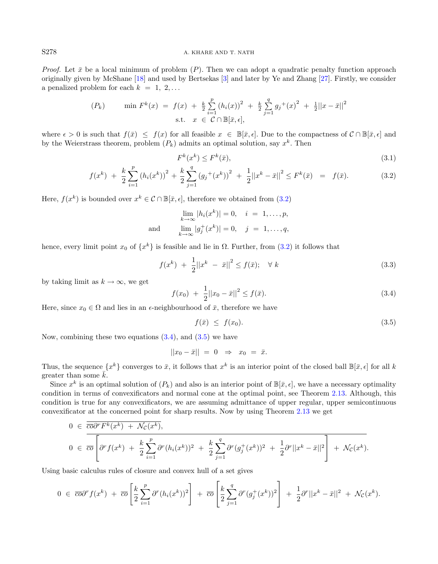*Proof.* Let  $\bar{x}$  be a local minimum of problem  $(P)$ . Then we can adopt a quadratic penalty function approach originally given by McShane [\[18\]](#page-17-23) and used by Bertsekas [\[3\]](#page-17-5) and later by Ye and Zhang [\[27\]](#page-17-7). Firstly, we consider a penalized problem for each  $k = 1, 2, \ldots$ 

$$
(P_k) \qquad \min F^k(x) = f(x) + \frac{k}{2} \sum_{i=1}^p (h_i(x))^2 + \frac{k}{2} \sum_{j=1}^q g_j(x)^2 + \frac{1}{2} ||x - \bar{x}||^2
$$
  
s.t.  $x \in \mathcal{C} \cap \mathbb{B}[\bar{x}, \epsilon],$ 

where  $\epsilon > 0$  is such that  $f(\bar{x}) \leq f(x)$  for all feasible  $x \in \mathbb{B}[\bar{x}, \epsilon]$ . Due to the compactness of  $\mathcal{C} \cap \mathbb{B}[\bar{x}, \epsilon]$  and by the Weierstrass theorem, problem  $(P_k)$  admits an optimal solution, say  $x^k$ . Then

<span id="page-7-2"></span><span id="page-7-1"></span><span id="page-7-0"></span>
$$
F^k(x^k) \le F^k(\bar{x}),\tag{3.1}
$$

$$
f(x^{k}) + \frac{k}{2} \sum_{i=1}^{p} (h_{i}(x^{k}))^{2} + \frac{k}{2} \sum_{j=1}^{q} (g_{j}^{+}(x^{k}))^{2} + \frac{1}{2} ||x^{k} - \bar{x}||^{2} \le F^{k}(\bar{x}) = f(\bar{x}). \tag{3.2}
$$

Here,  $f(x^k)$  is bounded over  $x^k \in \mathcal{C} \cap \mathbb{B}[\bar{x}, \epsilon]$ , therefore we obtained from  $(3.2)$ 

$$
\lim_{k \to \infty} |h_i(x^k)| = 0, \quad i = 1, ..., p,
$$
  
and 
$$
\lim_{k \to \infty} |g_j^+(x^k)| = 0, \quad j = 1, ..., q,
$$

hence, every limit point  $x_0$  of  $\{x^k\}$  is feasible and lie in  $\Omega$ . Further, from  $(3.2)$  it follows that

$$
f(x^{k}) + \frac{1}{2}||x^{k} - \bar{x}||^{2} \le f(\bar{x}); \quad \forall k
$$
\n(3.3)

by taking limit as  $k \to \infty$ , we get

$$
f(x_0) + \frac{1}{2}||x_0 - \bar{x}||^2 \le f(\bar{x}).
$$
\n(3.4)

Here, since  $x_0 \in \Omega$  and lies in an  $\epsilon$ -neighbourhood of  $\bar{x}$ , therefore we have

$$
f(\bar{x}) \le f(x_0). \tag{3.5}
$$

Now, combining these two equations  $(3.4)$  $(3.4)$ , and  $(3.5)$  $(3.5)$  we have

$$
||x_0 - \bar{x}|| = 0 \Rightarrow x_0 = \bar{x}.
$$

Thus, the sequence  $\{x^k\}$  converges to  $\bar{x}$ , it follows that  $x^k$  is an interior point of the closed ball  $\mathbb{B}[\bar{x}, \epsilon]$  for all k greater than some  $\bar{k}$ .

Since  $x^k$  is an optimal solution of  $(P_k)$  and also is an interior point of  $\mathbb{B}[\bar{x}, \epsilon]$ , we have a necessary optimality condition in terms of convexificators and normal cone at the optimal point, see Theorem [2.13.](#page-6-2) Although, this condition is true for any convexificators, we are assuming admittance of upper regular, upper semicontinuous convexificator at the concerned point for sharp results. Now by using Theorem [2.13](#page-6-2) we get

$$
0 \in \overline{co}\overline{or}F^{k}(x^{k}) + \mathcal{N}_{\mathcal{C}}(x^{k}),
$$
  
\n
$$
0 \in \overline{co}\left[\partial^{r} f(x^{k}) + \frac{k}{2}\sum_{i=1}^{p} \partial^{r}(h_{i}(x^{k}))^{2} + \frac{k}{2}\sum_{j=1}^{q} \partial^{r}(g_{j}^{+}(x^{k}))^{2} + \frac{1}{2}\partial^{r}||x^{k} - \bar{x}||^{2}\right] + \mathcal{N}_{\mathcal{C}}(x^{k}).
$$

Using basic calculus rules of closure and convex hull of a set gives

$$
0 \in \overline{co}\partial^r f(x^k) + \overline{co}\left[\frac{k}{2}\sum_{i=1}^p \partial^r (h_i(x^k))^2\right] + \overline{co}\left[\frac{k}{2}\sum_{j=1}^q \partial^r (g_j^+(x^k))^2\right] + \frac{1}{2}\partial^r ||x^k - \overline{x}||^2 + \mathcal{N}_c(x^k).
$$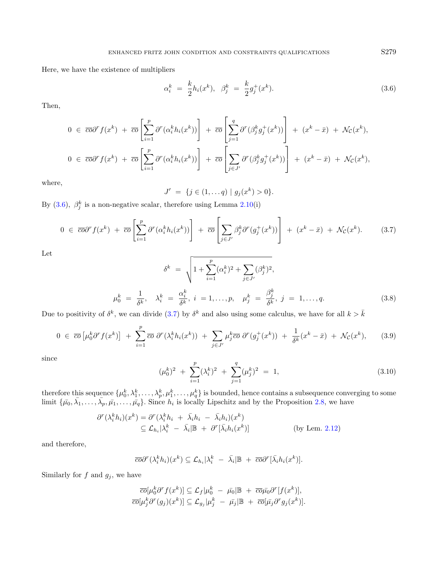Here, we have the existence of multipliers

<span id="page-8-1"></span><span id="page-8-0"></span>
$$
\alpha_i^k = \frac{k}{2} h_i(x^k), \quad \beta_j^k = \frac{k}{2} g_j^+(x^k). \tag{3.6}
$$

Then,

$$
0 \in \overline{co}\partial^r f(x^k) + \overline{co} \left[ \sum_{i=1}^p \partial^r (\alpha_i^k h_i(x^k)) \right] + \overline{co} \left[ \sum_{j=1}^q \partial^r (\beta_j^k g_j^+(x^k)) \right] + (x^k - \overline{x}) + \mathcal{N}_c(x^k),
$$
  

$$
0 \in \overline{co}\partial^r f(x^k) + \overline{co} \left[ \sum_{i=1}^p \partial^r (\alpha_i^k h_i(x^k)) \right] + \overline{co} \left[ \sum_{j \in J'} \partial^r (\beta_j^k g_j^+(x^k)) \right] + (x^k - \overline{x}) + \mathcal{N}_c(x^k),
$$

<span id="page-8-3"></span>where,

$$
J' = \{ j \in (1, \dots q) \mid g_j(x^k) > 0 \}.
$$

By [\(3](#page-8-0).6),  $\beta_j^k$  is a non-negative scalar, therefore using Lemma [2.10\(](#page-4-1)i)

$$
0 \in \overline{co}\partial^r f(x^k) + \overline{co} \left[ \sum_{i=1}^p \partial^r (\alpha_i^k h_i(x^k)) \right] + \overline{co} \left[ \sum_{j \in J'} \beta_j^k \partial^r (g_j^+(x^k)) \right] + (x^k - \overline{x}) + \mathcal{N}_c(x^k). \tag{3.7}
$$

<span id="page-8-4"></span>Let

$$
\delta^k = \sqrt{1 + \sum_{i=1}^p (\alpha_i^k)^2 + \sum_{j \in J'} (\beta_j^k)^2},
$$
  

$$
\mu_0^k = \frac{1}{\delta^k}, \quad \lambda_i^k = \frac{\alpha_i^k}{\delta^k}, \quad i = 1, \dots, p, \quad \mu_j^k = \frac{\beta_j^k}{\delta^k}, \quad j = 1, \dots, q.
$$
 (3.8)

Due to positivity of  $\delta^k$ , we can divide (3.[7\)](#page-8-1) by  $\delta^k$  and also using some calculus, we have for all  $k > \bar{k}$ 

$$
0 \in \overline{co}\left[\mu_0^k \partial^r f(x^k)\right] + \sum_{i=1}^p \overline{co} \ \partial^r (\lambda_i^k h_i(x^k)) + \sum_{j \in J'} \mu_j^k \overline{co} \ \partial^r (g_j^+(x^k)) + \frac{1}{\delta^k} (x^k - \bar{x}) + \mathcal{N}_\mathcal{C}(x^k), \tag{3.9}
$$

since

$$
(\mu_0^k)^2 + \sum_{i=1}^p (\lambda_i^k)^2 + \sum_{j=1}^q (\mu_j^k)^2 = 1,
$$
\n(3.10)

therefore this sequence  $\{\mu_0^k,\lambda_1^k,\ldots,\lambda_p^k,\mu_1^k,\ldots,\mu_q^k\}$  is bounded, hence contains a subsequence converging to some limit  $\{\bar{\mu_0}, \bar{\lambda_1}, \ldots, \bar{\lambda_p}, \bar{\mu_1}, \ldots, \bar{\mu_q}\}$ . Since  $h_i$  is locally Lipschitz and by the Proposition [2.8,](#page-4-2) we have

$$
\partial^{r}(\lambda_{i}^{k}h_{i})(x^{k}) = \partial^{r}(\lambda_{i}^{k}h_{i} + \bar{\lambda}_{i}h_{i} - \bar{\lambda}_{i}h_{i})(x^{k})
$$
  
\n
$$
\subseteq \mathcal{L}_{h_{i}}|\lambda_{i}^{k} - \bar{\lambda}_{i}|\mathbb{B} + \partial^{r}[\bar{\lambda}_{i}h_{i}(x^{k})]
$$
 (by Lem. 2.12)

and therefore,

$$
\overline{co}\partial^r(\lambda_i^kh_i)(x^k)\subseteq \mathcal{L}_{h_i}|\lambda_i^k - \overline{\lambda}_i| \mathbb{B} + \overline{co}\partial^r[\overline{\lambda}_ih_i(x^k)].
$$

Similarly for  $f$  and  $g_j$ , we have

$$
\overline{co}[\mu_0^k \partial^r f(x^k)] \subseteq \mathcal{L}_f | \mu_0^k - \bar{\mu_0} | \mathbb{B} + \overline{co} \bar{\mu_0} \partial^r [f(x^k)],
$$
  

$$
\overline{co}[\mu_j^k \partial^r (g_j)(x^k)] \subseteq \mathcal{L}_{g_j} | \mu_j^k - \bar{\mu_j} | \mathbb{B} + \overline{co}[\bar{\mu_j} \partial^r g_j(x^k)].
$$

<span id="page-8-2"></span>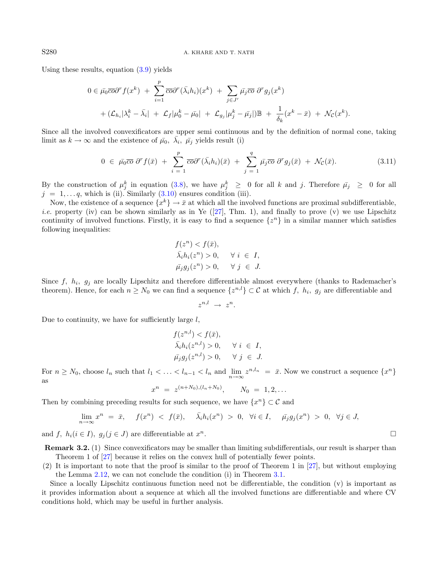Using these results, equation [\(3.9\)](#page-8-2) yields

<span id="page-9-0"></span>
$$
0 \in \bar{\mu}_0 \overline{co} \partial^r f(x^k) + \sum_{i=1}^p \overline{co} \partial^r (\bar{\lambda}_i h_i)(x^k) + \sum_{j \in J'} \bar{\mu}_j \overline{co} \partial^r g_j(x^k)
$$
  
+  $(\mathcal{L}_{h_i} | \lambda_i^k - \bar{\lambda}_i | + \mathcal{L}_f | \mu_0^k - \bar{\mu}_0 | + \mathcal{L}_{g_j} | \mu_j^k - \bar{\mu}_j|) \mathbb{B} + \frac{1}{\delta_k} (x^k - \bar{x}) + \mathcal{N}_C (x^k).$ 

Since all the involved convexificators are upper semi continuous and by the definition of normal cone, taking limit as  $k \to \infty$  and the existence of  $\bar{\mu}_0$ ,  $\bar{\lambda}_i$ ,  $\bar{\mu}_j$  yields result (i)

$$
0 \in \bar{\mu_0} \overline{co} \; \partial^r f(\bar{x}) + \sum_{i=1}^p \overline{co} \partial^r (\bar{\lambda_i} h_i)(\bar{x}) + \sum_{j=1}^q \bar{\mu_j} \overline{co} \; \partial^r g_j(\bar{x}) + \mathcal{N}_\mathcal{C}(\bar{x}). \tag{3.11}
$$

By the construction of  $\mu_j^k$  in equation [\(3](#page-8-3).8), we have  $\mu_j^k \geq 0$  for all k and j. Therefore  $\bar{\mu}_j \geq 0$  for all  $j = 1, \ldots q$ , which is (ii). Similarly  $(3.10)$  $(3.10)$  ensures condition (iii).

Now, the existence of a sequence  $\{x^k\} \to \bar{x}$  at which all the involved functions are proximal subdifferentiable, *i.e.* property (iv) can be shown similarly as in Ye ([\[27\]](#page-17-7), Thm. 1), and finally to prove (v) we use Lipschitz continuity of involved functions. Firstly, it is easy to find a sequence  $\{z^n\}$  in a similar manner which satisfies following inequalities:

$$
f(z^n) < f(\bar{x}),
$$
\n
$$
\bar{\lambda}_i h_i(z^n) > 0, \quad \forall \ i \in I,
$$
\n
$$
\bar{\mu}_j g_j(z^n) > 0, \quad \forall \ j \in J.
$$

Since  $f$ ,  $h_i$ ,  $g_j$  are locally Lipschitz and therefore differentiable almost everywhere (thanks to Rademacher's theorem). Hence, for each  $n \geq N_0$  we can find a sequence  $\{z^{n,l}\}\subset \mathcal{C}$  at which f,  $h_i$ ,  $g_j$  are differentiable and

 $z^{n,l} \rightarrow z^n$ .

Due to continuity, we have for sufficiently large  $l$ ,

$$
f(z^{n,l}) < f(\bar{x}),
$$
\n
$$
\bar{\lambda}_i h_i(z^{n,l}) > 0, \quad \forall \ i \in I,
$$
\n
$$
\bar{\mu}_j g_j(z^{n,l}) > 0, \quad \forall \ j \in J.
$$

For  $n \ge N_0$ , choose  $l_n$  such that  $l_1 < \ldots < l_{n-1} < l_n$  and  $\lim_{n \to \infty} z^{n, l_n} = \bar{x}$ . Now we construct a sequence  $\{x^n\}$ as

 $x^n = z^{(n+N_0),(l_n+N_0)}, \qquad N_0 = 1,2,...$ 

Then by combining preceding results for such sequence, we have  $\{x^n\} \subset \mathcal{C}$  and

$$
\lim_{n \to \infty} x^n = \bar{x}, \quad f(x^n) < f(\bar{x}), \quad \bar{\lambda}_i h_i(x^n) > 0, \quad \forall i \in I, \quad \bar{\mu}_j g_j(x^n) > 0, \quad \forall j \in J,
$$

and f,  $h_i (i \in I)$ ,  $g_j (j \in J)$  are differentiable at  $x^n$ .

Remark 3.2. (1) Since convexificators may be smaller than limiting subdifferentials, our result is sharper than Theorem 1 of [\[27\]](#page-17-7) because it relies on the convex hull of potentially fewer points.

(2) It is important to note that the proof is similar to the proof of Theorem 1 in [\[27\]](#page-17-7), but without employing the Lemma [2.12,](#page-5-2) we can not conclude the condition (i) in Theorem [3.1.](#page-6-1)

Since a locally Lipschitz continuous function need not be differentiable, the condition (v) is important as it provides information about a sequence at which all the involved functions are differentiable and where CV conditions hold, which may be useful in further analysis.

 $\overline{n}$ .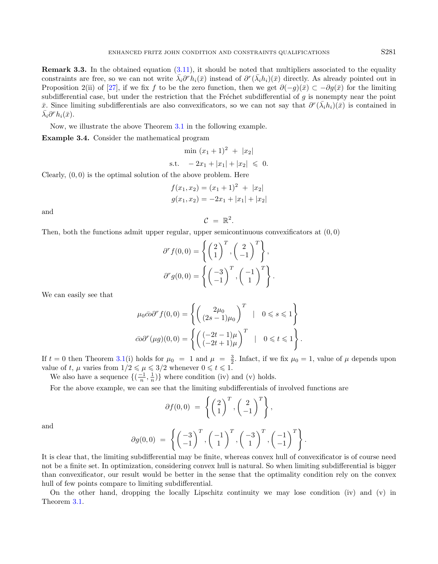Remark 3.3. In the obtained equation [\(3.11\)](#page-9-0), it should be noted that multipliers associated to the equality constraints are free, so we can not write  $\bar{\lambda_i} \partial^r h_i(\bar{x})$  instead of  $\partial^r (\bar{\lambda_i} h_i)(\bar{x})$  directly. As already pointed out in Proposition 2(ii) of [\[27\]](#page-17-7), if we fix f to be the zero function, then we get  $\partial(-q)(\bar{x}) \subset -\partial q(\bar{x})$  for the limiting subdifferential case, but under the restriction that the Fréchet subdifferential of  $g$  is nonempty near the point  $\bar{x}$ . Since limiting subdifferentials are also convexificators, so we can not say that  $\partial^r(\bar{\lambda}_i h_i)(\bar{x})$  is contained in  $\bar{\lambda_i}\partial^r h_i(\bar{x}).$ 

Now, we illustrate the above Theorem [3.1](#page-6-1) in the following example.

Example 3.4. Consider the mathematical program

<span id="page-10-0"></span>
$$
\min (x_1 + 1)^2 + |x_2|
$$
  
s.t. 
$$
-2x_1 + |x_1| + |x_2| \leq 0.
$$

Clearly,  $(0, 0)$  is the optimal solution of the above problem. Here

$$
f(x_1, x_2) = (x_1 + 1)^2 + |x_2|
$$
  

$$
g(x_1, x_2) = -2x_1 + |x_1| + |x_2|
$$

 $\mathcal{C} = \mathbb{R}^2$ .

and

Then, both the functions admit upper regular, upper semicontinuous convexificators at  $(0, 0)$ 

$$
\partial^r f(0,0) = \left\{ \begin{pmatrix} 2 \\ 1 \end{pmatrix}^T, \begin{pmatrix} 2 \\ -1 \end{pmatrix}^T \right\},\
$$

$$
\partial^r g(0,0) = \left\{ \begin{pmatrix} -3 \\ -1 \end{pmatrix}^T, \begin{pmatrix} -1 \\ 1 \end{pmatrix}^T \right\}.
$$

We can easily see that

$$
\mu_0 \bar{co} \partial^r f(0,0) = \left\{ \begin{pmatrix} 2\mu_0 \\ (2s-1)\mu_0 \end{pmatrix}^T \middle| 0 \le s \le 1 \right\}
$$

$$
\bar{co} \partial^r (\mu g)(0,0) = \left\{ \begin{pmatrix} (-2t-1)\mu \\ (-2t+1)\mu \end{pmatrix}^T \middle| 0 \le t \le 1 \right\}.
$$

If  $t = 0$  then Theorem [3.1\(](#page-6-1)i) holds for  $\mu_0 = 1$  and  $\mu = \frac{3}{2}$ . Infact, if we fix  $\mu_0 = 1$ , value of  $\mu$  depends upon value of t,  $\mu$  varies from  $1/2 \le \mu \le 3/2$  whenever  $0 \le t \le 1$ .

We also have a sequence  $\{(\frac{-1}{n}, \frac{1}{n})\}$  where condition (iv) and (v) holds.

For the above example, we can see that the limiting subdifferentials of involved functions are

$$
\partial f(0,0) = \left\{ \begin{pmatrix} 2 \\ 1 \end{pmatrix}^T, \begin{pmatrix} 2 \\ -1 \end{pmatrix}^T \right\},\
$$

and

$$
\partial g(0,0) = \left\{ \begin{pmatrix} -3 \\ -1 \end{pmatrix}^T, \begin{pmatrix} -1 \\ 1 \end{pmatrix}^T, \begin{pmatrix} -3 \\ 1 \end{pmatrix}^T, \begin{pmatrix} -1 \\ -1 \end{pmatrix}^T \right\}.
$$

It is clear that, the limiting subdifferential may be finite, whereas convex hull of convexificator is of course need not be a finite set. In optimization, considering convex hull is natural. So when limiting subdifferential is bigger than convexificator, our result would be better in the sense that the optimality condition rely on the convex hull of few points compare to limiting subdifferential.

On the other hand, dropping the locally Lipschitz continuity we may lose condition (iv) and (v) in Theorem [3.1.](#page-6-1)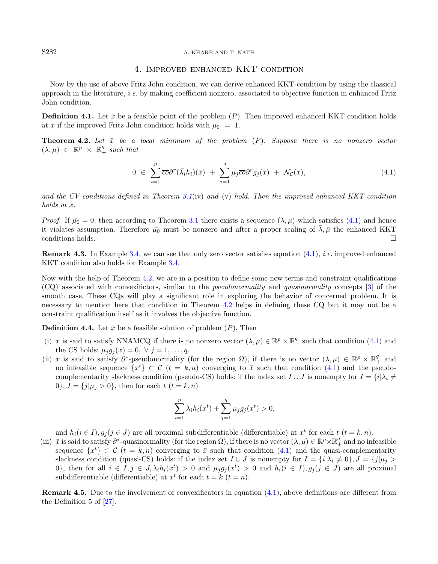#### S282 A. KHARE AND T. NATH

### <span id="page-11-1"></span>4. Improved enhanced KKT condition

Now by the use of above Fritz John condition, we can derive enhanced KKT-condition by using the classical approach in the literature, i.e. by making coefficient nonzero, associated to objective function in enhanced Fritz John condition.

**Definition 4.1.** Let  $\bar{x}$  be a feasible point of the problem  $(P)$ . Then improved enhanced KKT condition holds at  $\bar{x}$  if the improved Fritz John condition holds with  $\bar{\mu}_0 = 1$ .

<span id="page-11-2"></span>**Theorem 4.2.** Let  $\bar{x}$  be a local minimum of the problem  $(P)$ . Suppose there is no nonzero vector  $(\lambda, \mu) \in \mathbb{R}^p \times \mathbb{R}^q_+$  such that

<span id="page-11-3"></span>
$$
0 \in \sum_{i=1}^{p} \overline{co} \partial^{r} (\bar{\lambda}_{i} h_{i}) (\bar{x}) + \sum_{j=1}^{q} \bar{\mu}_{j} \overline{co} \partial^{r} g_{j} (\bar{x}) + \mathcal{N}_{\mathcal{C}} (\bar{x}), \qquad (4.1)
$$

and the CV conditions defined in Theorem [3.1](#page-6-1)(iv) and (v) hold. Then the improved enhanced KKT condition holds at  $\bar{x}$ .

*Proof.* If  $\bar{\mu}_0 = 0$ , then according to Theorem [3.1](#page-6-1) there exists a sequence  $(\lambda, \mu)$  which satisfies [\(4.1\)](#page-11-1) and hence it violates assumption. Therefore  $\bar{\mu}_0$  must be nonzero and after a proper scaling of  $\bar{\lambda}, \bar{\mu}$  the enhanced KKT conditions holds.

Remark 4.3. In Example [3.4,](#page-10-0) we can see that only zero vector satisfies equation [\(4.1\)](#page-11-1), i.e. improved enhanced KKT condition also holds for Example [3.4.](#page-10-0)

Now with the help of Theorem [4.2,](#page-11-2) we are in a position to define some new terms and constraint qualifications (CQ) associated with convexifictors, similar to the pseudonormality and quasinormality concepts [\[3\]](#page-17-5) of the smooth case. These CQs will play a significant role in exploring the behavior of concerned problem. It is necessary to mention here that condition in Theorem [4.2](#page-11-2) helps in defining these CQ but it may not be a constraint qualification itself as it involves the objective function.

**Definition 4.4.** Let  $\bar{x}$  be a feasible solution of problem  $(P)$ , Then

- (i)  $\bar{x}$  is said to satisfy NNAMCQ if there is no nonzero vector  $(\lambda, \mu) \in \mathbb{R}^p \times \mathbb{R}^q_+$  such that condition [\(4.1\)](#page-11-1) and the CS holds:  $\mu_i g_j(\bar{x}) = 0, \ \forall \ j = 1, \ldots, q$ .
- (ii)  $\bar{x}$  is said to satisfy  $\partial^*$ -pseudonormality (for the region  $\Omega$ ), if there is no vector  $(\lambda, \mu) \in \mathbb{R}^p \times \mathbb{R}^q_+$  and no infeasible sequence  $\{x^t\} \subset \mathcal{C}$   $(t = k, n)$  converging to  $\bar{x}$  such that condition  $(4.1)$  and the pseudocomplementarity slackness condition (pseudo-CS) holds: if the index set  $I \cup J$  is nonempty for  $I = \{i | \lambda_i \neq j\}$ 0,  $J = \{j | \mu_j > 0\}$ , then for each  $t (t = k, n)$

$$
\sum_{i=1}^{p} \lambda_i h_i(x^t) + \sum_{j=1}^{q} \mu_j g_j(x^t) > 0,
$$

and  $h_i (i \in I), g_j (j \in J)$  are all proximal subdifferentiable (differentiable) at  $x^t$  for each  $t$   $(t = k, n)$ .

(iii)  $\bar{x}$  is said to satisfy  $\partial^*$ -quasinormality (for the region  $\Omega$ ), if there is no vector  $(\lambda, \mu) \in \mathbb{R}^p \times \mathbb{R}^q_+$  and no infeasible sequence  $\{x^t\} \subset \mathcal{C}$   $(t = k, n)$  converging to  $\bar{x}$  such that condition [\(4.1\)](#page-11-1) and the quasi-complementarity slackness condition (quasi-CS) holds: if the index set  $I \cup J$  is nonempty for  $I = \{i | \lambda_i \neq 0\}, J = \{j | \mu_j > 0\}$ 0, then for all  $i \in I, j \in J, \lambda_i h_i(x^t) > 0$  and  $\mu_j g_j(x^t) > 0$  and  $h_i(i \in I), g_j(j \in J)$  are all proximal subdifferentiable (differentiable) at  $x^t$  for each  $t = k$   $(t = n)$ .

Remark 4.5. Due to the involvement of convexificators in equation [\(4.1\)](#page-11-1), above definitions are different from the Definition 5 of [\[27\]](#page-17-7).

<span id="page-11-0"></span>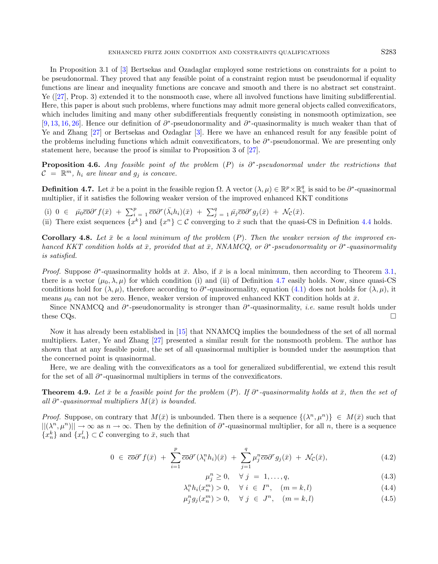In Proposition 3.1 of [\[3\]](#page-17-5) Bertsekas and Ozadaglar employed some restrictions on constraints for a point to be pseudonormal. They proved that any feasible point of a constraint region must be pseudonormal if equality functions are linear and inequality functions are concave and smooth and there is no abstract set constraint. Ye ([\[27\]](#page-17-7), Prop. 3) extended it to the nonsmooth case, where all involved functions have limiting subdifferential. Here, this paper is about such problems, where functions may admit more general objects called convexificators, which includes limiting and many other subdifferentials frequently consisting in nonsmooth optimization, see [\[9,](#page-17-10)[13,](#page-17-9)[16,](#page-17-17)[26\]](#page-17-18). Hence our definition of ∂<sup>\*</sup>-pseudonormality and ∂<sup>\*</sup>-quasinormality is much weaker than that of Ye and Zhang [\[27\]](#page-17-7) or Bertsekas and Ozdaglar [\[3\]](#page-17-5). Here we have an enhanced result for any feasible point of the problems including functions which admit convexificators, to be  $\partial^*$ -pseudonormal. We are presenting only statement here, because the proof is similar to Proposition 3 of [\[27\]](#page-17-7).

**Proposition 4.6.** Any feasible point of the problem  $(P)$  is  $\partial^*$ -pseudonormal under the restrictions that  $\mathcal{C} = \mathbb{R}^m$ ,  $h_i$  are linear and  $g_j$  is concave.

<span id="page-12-0"></span>**Definition 4.7.** Let  $\bar{x}$  be a point in the feasible region  $\Omega$ . A vector  $(\lambda, \mu) \in \mathbb{R}^p \times \mathbb{R}^q_+$  is said to be  $\partial^*$ -quasinormal multiplier, if it satisfies the following weaker version of the improved enhanced KKT conditions

(i)  $0 \in \bar{\mu}_0 \overline{\mathrm{co}} \partial^r f(\bar{x}) + \sum_{i=1}^p \overline{\mathrm{co}} \partial^r (\bar{\lambda}_i h_i)(\bar{x}) + \sum_{j=1}^q \bar{\mu}_j \overline{\mathrm{co}} \partial^r g_j(\bar{x}) + \mathcal{N}_c(\bar{x}).$ 

(ii) There exist sequences  $\{x^k\}$  and  $\{x^n\} \subset \mathcal{C}$  converging to  $\bar{x}$  such that the quasi-CS in Definition [4.4](#page-11-3) holds.

Corollary 4.8. Let  $\bar{x}$  be a local minimum of the problem (P). Then the weaker version of the improved enhanced KKT condition holds at  $\bar{x}$ , provided that at  $\bar{x}$ , NNAMCQ, or  $\partial^*$ -pseudonormality or  $\partial^*$ -quasinormality is satisfied.

*Proof.* Suppose  $\partial^*$ -quasinormality holds at  $\bar{x}$ . Also, if  $\bar{x}$  is a local minimum, then according to Theorem [3.1,](#page-6-1) there is a vector  $(\mu_0, \lambda, \mu)$  for which condition (i) and (ii) of Definition [4.7](#page-12-0) easily holds. Now, since quasi-CS conditions hold for  $(\lambda, \mu)$ , therefore according to  $\partial^*$ -quasinormality, equation [\(4.1\)](#page-11-1) does not holds for  $(\lambda, \mu)$ , it means  $\mu_0$  can not be zero. Hence, weaker version of improved enhanced KKT condition holds at  $\bar{x}$ .

Since NNAMCQ and  $\partial^*$ -pseudonormality is stronger than  $\partial^*$ -quasinormality, *i.e.* same result holds under these CQs.

Now it has already been established in [\[15\]](#page-17-24) that NNAMCQ implies the boundedness of the set of all normal multipliers. Later, Ye and Zhang [\[27\]](#page-17-7) presented a similar result for the nonsmooth problem. The author has shown that at any feasible point, the set of all quasinormal multiplier is bounded under the assumption that the concerned point is quasinormal.

Here, we are dealing with the convexificators as a tool for generalized subdifferential, we extend this result for the set of all  $\partial^*$ -quasinormal multipliers in terms of the convexificators.

**Theorem 4.9.** Let  $\bar{x}$  be a feasible point for the problem (P). If  $\partial^*$ -quasinormality holds at  $\bar{x}$ , then the set of all  $\partial^*$ -quasinormal multipliers  $M(\bar{x})$  is bounded.

*Proof.* Suppose, on contrary that  $M(\bar{x})$  is unbounded. Then there is a sequence  $\{(\lambda^n, \mu^n)\}\in M(\bar{x})$  such that  $||(\lambda^n, \mu^n)|| \to \infty$  as  $n \to \infty$ . Then by the definition of  $\partial^*$ -quasinormal multiplier, for all n, there is a sequence  ${x_n^k}$  and  ${x_n^l} \subset \mathcal{C}$  converging to  $\bar{x}$ , such that

$$
0 \in \overline{co}\partial^r f(\bar{x}) + \sum_{i=1}^p \overline{co}\partial^r (\lambda_i^n h_i)(\bar{x}) + \sum_{j=1}^q \mu_j^n \overline{co}\partial^r g_j(\bar{x}) + \mathcal{N}_\mathcal{C}(\bar{x}), \tag{4.2}
$$

<span id="page-12-3"></span><span id="page-12-2"></span><span id="page-12-1"></span>
$$
\mu_j^n \ge 0, \quad \forall \ j = 1, \dots, q,\tag{4.3}
$$

$$
\lambda_i^n h_i(x_n^m) > 0, \quad \forall \ i \in I^n, \quad (m = k, l) \tag{4.4}
$$

$$
\mu_j^n g_j(x_n^m) > 0, \quad \forall \ j \in J^n, \quad (m = k, l) \tag{4.5}
$$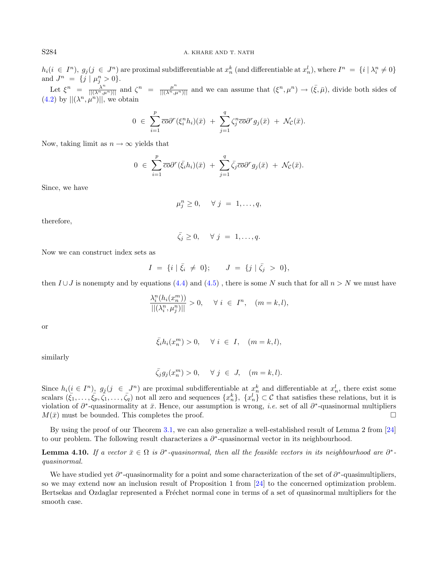$h_i(i \in I<sup>n</sup>), g_j(j \in J<sup>n</sup>)$  are proximal subdifferentiable at  $x_n^k$  (and differentiable at  $x_n^l$ ), where  $I<sup>n</sup> = \{i | \lambda_i^n \neq 0\}$  $u_i (i \in I)$ ,  $y_j (j \in J)$  are proximal subdimerentiable at  $x_n$  (and dimerentiable at  $x_n$ ), where  $I = \{i | n_i \}$ <br>and  $J^n = \{j | \mu_j^n > 0\}$ . Let  $\xi^n = \frac{\lambda^n}{\vert \vert (\lambda^n, \mu^n) \vert \vert}$  and  $\zeta^n = \frac{\mu^n}{\vert \vert (\lambda^n, \mu^n) \vert \vert \vert}$  and we can assume that  $(\xi^n, \mu^n) \to (\bar{\xi}, \bar{\mu})$ , divide both sides of

 $(4.2)$  by  $||(\lambda^n, \mu^n)||$ , we obtain

$$
0 \in \sum_{i=1}^p \overline{co} \partial^r (\xi_i^n h_i)(\overline{x}) + \sum_{j=1}^q \zeta_j^n \overline{co} \partial^r g_j(\overline{x}) + \mathcal{N}_{\mathcal{C}}(\overline{x}).
$$

Now, taking limit as  $n \to \infty$  yields that

$$
0 \in \sum_{i=1}^p \overline{co} \partial^r(\bar{\xi}_i h_i)(\bar{x}) + \sum_{j=1}^q \bar{\zeta}_j \overline{co} \partial^r g_j(\bar{x}) + \mathcal{N}_{\mathcal{C}}(\bar{x}).
$$

Since, we have

$$
\mu_j^n \geq 0, \quad \forall \ j = 1, \dots, q,
$$

therefore,

$$
\bar{\zeta}_j \geq 0, \quad \forall \ j = 1, \ldots, q.
$$

Now we can construct index sets as

$$
I = \{i \mid \bar{\xi}_i \neq 0\}; \qquad J = \{j \mid \bar{\zeta}_j > 0\},\
$$

then  $I \cup J$  is nonempty and by equations [\(4.4\)](#page-12-2) and [\(4.5\)](#page-12-3), there is some N such that for all  $n > N$  we must have

$$
\frac{\lambda_i^n(h_i(x_n^m))}{||(\lambda_i^n, \mu_j^n)||} > 0, \quad \forall \ i \ \in \ I^n, \quad (m = k, l),
$$

or

$$
\bar{\xi}_i h_i(x_n^m) > 0, \quad \forall \ i \in I, \quad (m = k, l),
$$

similarly

$$
\bar{\zeta_j}g_j(x_n^m) > 0, \quad \forall \ j \ \in \ J, \quad (m = k, l).
$$

Since  $h_i(\underline{i} \in I^n)$ ,  $g_j(j \in I^n)$  are proximal subdifferentiable at  $x_n^k$  and differentiable at  $x_n^l$ , there exist some scalars  $(\bar{\zeta}_1,\ldots,\bar{\zeta}_p,\bar{\zeta}_1,\ldots,\bar{\zeta}_q)$  not all zero and sequences  $\{x_n^k\},\ \{x_n^l\}\subset\mathcal{C}$  that satisfies these relations, but it is violation of  $\partial^*$ -quasinormality at  $\bar{x}$ . Hence, our assumption is wrong, *i.e.* set of all  $\partial^*$ -quasinormal multipliers  $M(\bar{x})$  must be bounded. This completes the proof.

By using the proof of our Theorem [3.1,](#page-6-1) we can also generalize a well-established result of Lemma 2 from [\[24\]](#page-17-25) to our problem. The following result characterizes a  $\partial^*$ -quasinormal vector in its neighbourhood.

**Lemma 4.10.** If a vector  $\bar{x} \in \Omega$  is  $\partial^*$ -quasinormal, then all the feasible vectors in its neighbourhood are  $\partial^*$ quasinormal.

We have studied yet  $\partial^*$ -quasinormality for a point and some characterization of the set of  $\partial^*$ -quasimultipliers, so we may extend now an inclusion result of Proposition 1 from [\[24\]](#page-17-25) to the concerned optimization problem. Bertsekas and Ozdaglar represented a Fréchet normal cone in terms of a set of quasinormal multipliers for the smooth case.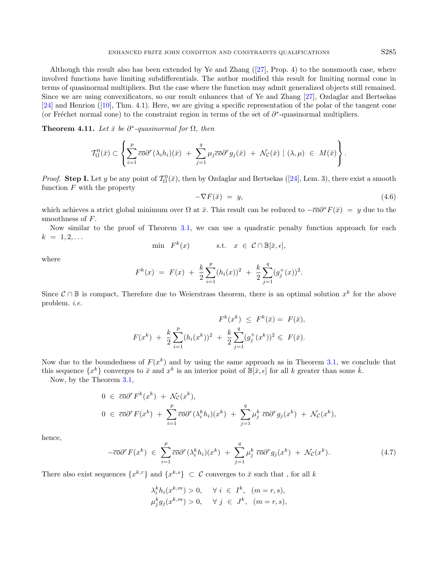Although this result also has been extended by Ye and Zhang  $(27)$ , Prop. 4) to the nonsmooth case, where involved functions have limiting subdifferentials. The author modified this result for limiting normal cone in terms of quasinormal multipliers. But the case where the function may admit generalized objects still remained. Since we are using convexificators, so our result enhances that of Ye and Zhang [\[27\]](#page-17-7), Ozdaglar and Bertsekas  $[24]$  and Henrion  $([10], Thm. 4.1)$  $([10], Thm. 4.1)$  $([10], Thm. 4.1)$ . Here, we are giving a specific representation of the polar of the tangent cone (or Fréchet normal cone) to the constraint region in terms of the set of  $\partial^*$ -quasinormal multipliers.

**Theorem 4.11.** Let  $\bar{x}$  be  $\partial^*$ -quasinormal for  $\Omega$ , then

$$
\mathcal{T}_{\Omega}^{0}(\bar{x}) \subset \left\{ \sum_{i=1}^{p} \overline{co} \partial^{r}(\lambda_{i} h_{i})(\bar{x}) + \sum_{j=1}^{q} \mu_{j} \overline{co} \partial^{r} g_{j}(\bar{x}) + \mathcal{N}_{\mathcal{C}}(\bar{x}) \mid (\lambda, \mu) \in M(\bar{x}) \right\}.
$$

*Proof.* Step I. Let y be any point of  $\mathcal{T}_{\Omega}^{0}(\bar{x})$ , then by Ozdaglar and Bertsekas ([\[24\]](#page-17-25), Lem. 3), there exist a smooth function  $F$  with the property

<span id="page-14-1"></span>
$$
-\nabla F(\bar{x}) = y,\t\t(4.6)
$$

which achieves a strict global minimum over  $\Omega$  at  $\bar{x}$ . This result can be reduced to  $-\overline{c\sigma}\partial^*F(\bar{x}) = y$  due to the smoothness of F.

Now similar to the proof of Theorem [3.1,](#page-6-1) we can use a quadratic penalty function approach for each  $k = 1, 2, \ldots$ 

$$
\min \quad F^k(x) \qquad \qquad \text{s.t.} \quad x \in \mathcal{C} \cap \mathbb{B}[\bar{x}, \epsilon],
$$

where

$$
F^{k}(x) = F(x) + \frac{k}{2} \sum_{i=1}^{p} (h_{i}(x))^{2} + \frac{k}{2} \sum_{j=1}^{q} (g_{j}^{+}(x))^{2}.
$$

Since  $\mathcal{C} \cap \mathbb{B}$  is compact, Therefore due to Weierstrass theorem, there is an optimal solution  $x^k$  for the above problem. i.e.

$$
F^{k}(x^{k}) \leq F^{k}(\bar{x}) = F(\bar{x}),
$$
  

$$
F(x^{k}) + \frac{k}{2} \sum_{i=1}^{p} (h_{i}(x^{k}))^{2} + \frac{k}{2} \sum_{j=1}^{q} (g_{j}^{+}(x^{k}))^{2} \leq F(\bar{x}).
$$

<span id="page-14-0"></span>Now due to the boundedness of  $F(x^k)$  and by using the same approach as in Theorem [3.1,](#page-6-1) we conclude that this sequence  $\{x^k\}$  converges to  $\bar{x}$  and  $x^k$  is an interior point of  $\mathbb{B}[\bar{x}, \epsilon]$  for all k greater than some  $\bar{k}$ .

Now, by the Theorem [3.1,](#page-6-1)

$$
0 \in \overline{co}\partial^r F^k(x^k) + \mathcal{N}_{\mathcal{C}}(x^k),
$$
  
\n
$$
0 \in \overline{co}\partial^r F(x^k) + \sum_{i=1}^p \overline{co}\partial^r (\lambda_i^k h_i)(x^k) + \sum_{j=1}^q \mu_j^k \overline{co}\partial^r g_j(x^k) + \mathcal{N}_{\mathcal{C}}(x^k),
$$

hence,

$$
-\overline{co}\partial^r F(x^k) \in \sum_{i=1}^p \overline{co}\partial^r (\lambda_i^k h_i)(x^k) + \sum_{j=1}^q \mu_j^k \overline{co}\partial^r g_j(x^k) + \mathcal{N}_{\mathcal{C}}(x^k).
$$
 (4.7)

There also exist sequences  $\{x^{k,r}\}\$  and  $\{x^{k,s}\}\subset\mathcal{C}$  converges to  $\bar{x}$  such that, for all k

$$
\lambda_i^k h_i(x^{k,m}) > 0, \quad \forall i \in I^k, \ (m = r, s),
$$
  

$$
\mu_j^k g_j(x^{k,m}) > 0, \quad \forall j \in J^k, \ (m = r, s),
$$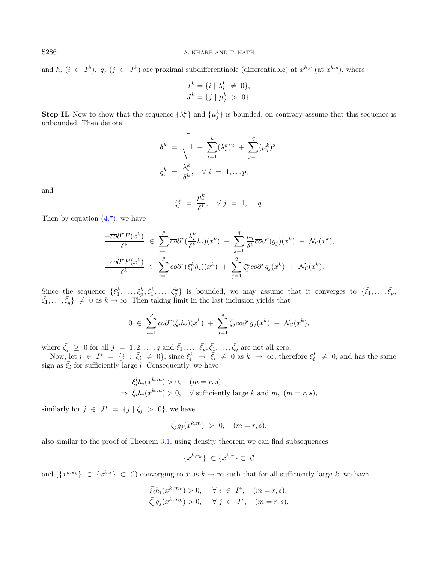and  $h_i$   $(i \in I^k)$ ,  $g_j$   $(j \in J^k)$  are proximal subdifferentiable (differentiable) at  $x^{k,r}$  (at  $x^{k,s}$ ), where

$$
I^{k} = \{i \mid \lambda_{i}^{k} \neq 0\},
$$
  

$$
J^{k} = \{j \mid \mu_{j}^{k} > 0\}.
$$

**Step II.** Now to show that the sequence  $\{\lambda_i^k\}$  and  $\{\mu_j^k\}$  is bounded, on contrary assume that this sequence is unbounded. Then denote

$$
\delta^k = \sqrt{1 + \sum_{i=1}^k (\lambda_i^k)^2 + \sum_{j=1}^q (\mu_j^k)^2},
$$
  

$$
\xi_i^k = \frac{\lambda_i^k}{\delta^k}, \quad \forall \ i = 1, \dots p,
$$

and

$$
\zeta_j^k = \frac{\mu_j^k}{\delta^k}, \quad \forall \ j = 1, \ldots q.
$$

Then by equation  $(4.7)$ , we have

$$
\frac{-\overline{co}\partial^r F(x^k)}{\delta^k} \in \sum_{i=1}^p \overline{co}\partial^r (\frac{\lambda_i^k}{\delta^k} h_i)(x^k) + \sum_{j=1}^q \frac{\mu_j}{\delta^k} \overline{co}\partial^r (g_j)(x^k) + \mathcal{N}_{\mathcal{C}}(x^k),
$$
  

$$
\frac{-\overline{co}\partial^r F(x^k)}{\delta^k} \in \sum_{i=1}^p \overline{co}\partial^r (\xi_i^k h_i)(x^k) + \sum_{j=1}^q \zeta_j^k \overline{co}\partial^r g_j(x^k) + \mathcal{N}_{\mathcal{C}}(x^k).
$$

Since the sequence  $\{\xi_1^k,\ldots,\xi_p^k,\zeta_1^k,\ldots,\zeta_q^k\}$  is bounded, we may assume that it converges to  $\{\bar{\xi_1},\ldots,\bar{\xi_p},\zeta_q^k\}$  $\{\bar{\zeta}_1,\ldots,\bar{\zeta}_q\} \neq 0$  as  $k \to \infty$ . Then taking limit in the last inclusion yields that

$$
0 \in \sum_{i=1}^p \overline{co} \partial^r(\bar{\xi}_i h_i)(x^k) + \sum_{j=1}^q \bar{\zeta}_j \overline{co} \partial^r g_j(x^k) + \mathcal{N}_{\mathcal{C}}(x^k),
$$

where  $\bar{\zeta}_j \geq 0$  for all  $j = 1, 2, \ldots, q$  and  $\bar{\zeta}_1, \ldots, \bar{\zeta}_p, \bar{\zeta}_1, \ldots, \bar{\zeta}_q$  are not all zero.

Now, let  $i \in I^* = \{i : \bar{\xi}_i \neq 0\}$ , since  $\xi_i^k \to \bar{\xi}_i \neq 0$  as  $k \to \infty$ , therefore  $\xi_i^k \neq 0$ , and has the same sign as  $\bar{\xi}_i$  for sufficiently large l. Consequently, we have

$$
\xi_i^l h_i(x^{k,m}) > 0, \quad (m = r, s)
$$
  
\n
$$
\Rightarrow \bar{\xi}_i h_i(x^{k,m}) > 0, \quad \forall \text{ sufficiently large } k \text{ and } m, \ (m = r, s),
$$

similarly for  $j \in J^* = \{j \mid \bar{\zeta}_j > 0\}$ , we have

$$
\bar{\zeta_j}g_j(x^{k,m}) > 0, \quad (m = r, s),
$$

also similar to the proof of Theorem [3.1,](#page-6-1) using density theorem we can find subsequences

$$
\{x^{k,r_k}\} \subset \{x^{k,r}\} \subset \mathcal{C}
$$

and  $(\{x^{k,s_k}\}\subset \{x^{k,s}\}\subset \mathcal{C})$  converging to  $\bar{x}$  as  $k\to\infty$  such that for all sufficiently large k, we have

$$
\bar{\xi}_i h_i(x^{k,m_k}) > 0, \quad \forall i \in I^*, \quad (m = r, s),
$$
  

$$
\bar{\zeta}_j g_j(x^{k,m_k}) > 0, \quad \forall j \in J^*, \quad (m = r, s),
$$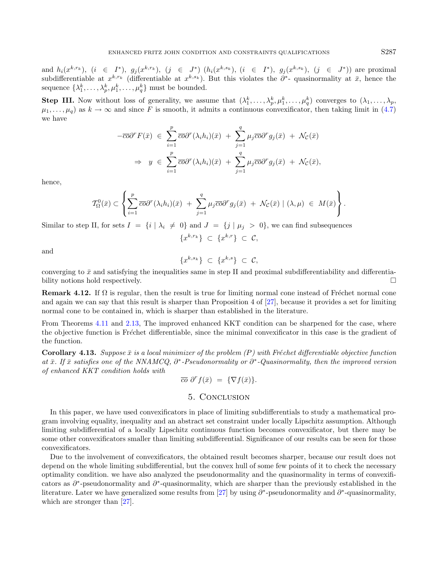and  $h_i(x^{k,r_k})$ ,  $(i \in I^*)$ ,  $g_j(x^{k,r_k})$ ,  $(j \in J^*)$   $(h_i(x^{k,s_k})$ ,  $(i \in I^*)$ ,  $g_j(x^{k,s_k})$ ,  $(j \in J^*)$ ) are proximal subdifferentiable at  $x^{k,r_k}$  (differentiable at  $x^{k,s_k}$ ). But this violates the  $\partial^*$ - quasinormality at  $\bar{x}$ , hence the sequence  $\{\lambda_1^k, \ldots, \lambda_p^k, \mu_1^k, \ldots, \mu_q^k\}$  must be bounded.

**Step III.** Now without loss of generality, we assume that  $(\lambda_1^k, \ldots, \lambda_p^k, \mu_1^k, \ldots, \mu_q^k)$  converges to  $(\lambda_1, \ldots, \lambda_p, \mu_1^k, \ldots, \mu_q^k)$  $\mu_1, \ldots, \mu_q$  as  $k \to \infty$  and since F is smooth, it admits a continuous convexificator, then taking limit in [\(4.7\)](#page-14-0) we have

$$
-\overline{co}\partial^r F(\bar{x}) \in \sum_{i=1}^p \overline{co}\partial^r (\lambda_i h_i)(\bar{x}) + \sum_{j=1}^q \mu_j \overline{co}\partial^r g_j(\bar{x}) + \mathcal{N}_C(\bar{x})
$$
  

$$
\Rightarrow y \in \sum_{i=1}^p \overline{co}\partial^r (\lambda_i h_i)(\bar{x}) + \sum_{j=1}^q \mu_j \overline{co}\partial^r g_j(\bar{x}) + \mathcal{N}_C(\bar{x}),
$$

hence,

$$
\mathcal{T}_{\Omega}^{0}(\bar{x}) \subset \left\{ \sum_{i=1}^{p} \overline{co} \partial^{r}(\lambda_{i} h_{i})(\bar{x}) + \sum_{j=1}^{q} \mu_{j} \overline{co} \partial^{r} g_{j}(\bar{x}) + \mathcal{N}_{\mathcal{C}}(\bar{x}) \mid (\lambda, \mu) \in M(\bar{x}) \right\}.
$$

Similar to step II, for sets  $I = \{i | \lambda_i \neq 0\}$  and  $J = \{j | \mu_j > 0\}$ , we can find subsequences

$$
\{x^{k,r_k}\}\ \subset\ \{x^{k,r}\}\ \subset\ \mathcal{C},
$$

and

$$
\{x^{k,s_k}\}\ \subset\ \{x^{k,s}\}\ \subset\ \mathcal{C},
$$

converging to  $\bar{x}$  and satisfying the inequalities same in step II and proximal subdifferentiability and differentiability notions hold respectively.

**Remark 4.12.** If  $\Omega$  is regular, then the result is true for limiting normal cone instead of Fréchet normal cone and again we can say that this result is sharper than Proposition 4 of [\[27\]](#page-17-7), because it provides a set for limiting normal cone to be contained in, which is sharper than established in the literature.

From Theorems [4.11](#page-14-1) and [2.13,](#page-6-2) The improved enhanced KKT condition can be sharpened for the case, where the objective function is Fréchet differentiable, since the minimal convexificator in this case is the gradient of the function.

**Corollary 4.13.** Suppose  $\bar{x}$  is a local minimizer of the problem  $(P)$  with Fréchet differentiable objective function at  $\bar{x}$ . If  $\bar{x}$  satisfies one of the NNAMCQ,  $\partial^*$ -Pseudonormality or  $\partial^*$ -Quasinormality, then the improved version of enhanced KKT condition holds with

$$
\overline{co} \; \partial^r f(\bar{x}) \; = \; \{\nabla f(\bar{x})\}.
$$

### 5. Conclusion

In this paper, we have used convexificators in place of limiting subdifferentials to study a mathematical program involving equality, inequality and an abstract set constraint under locally Lipschitz assumption. Although limiting subdifferential of a locally Lipschitz continuous function becomes convexificator, but there may be some other convexificators smaller than limiting subdifferential. Significance of our results can be seen for those convexificators.

Due to the involvement of convexificators, the obtained result becomes sharper, because our result does not depend on the whole limiting subdifferential, but the convex hull of some few points of it to check the necessary optimality condition. we have also analyzed the pseudonormality and the quasinormality in terms of convexificators as  $\partial^*$ -pseudonormality and  $\partial^*$ -quasinormality, which are sharper than the previously established in the literature. Later we have generalized some results from [\[27\]](#page-17-7) by using  $\partial^*$ -pseudonormality and  $\partial^*$ -quasinormality, which are stronger than [\[27\]](#page-17-7).